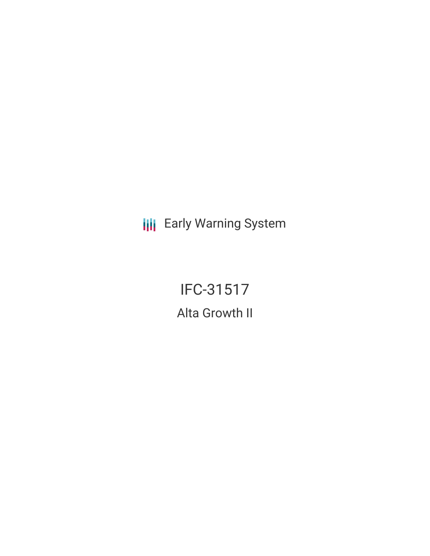**III** Early Warning System

IFC-31517 Alta Growth II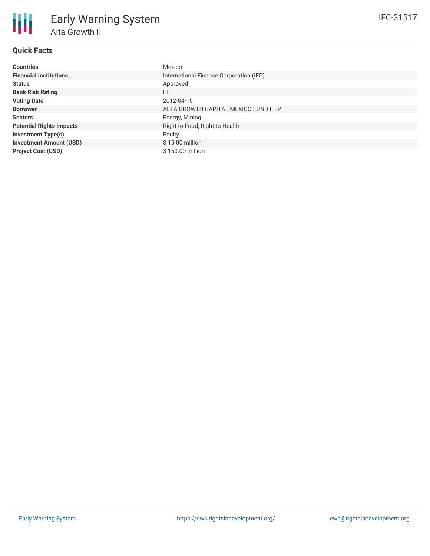# **Quick Facts**

朋

| <b>Countries</b>                | Mexico                                  |
|---------------------------------|-----------------------------------------|
| <b>Financial Institutions</b>   | International Finance Corporation (IFC) |
| <b>Status</b>                   | Approved                                |
| <b>Bank Risk Rating</b>         | FI                                      |
| <b>Voting Date</b>              | 2012-04-16                              |
| <b>Borrower</b>                 | ALTA GROWTH CAPITAL MEXICO FUND II LP   |
| <b>Sectors</b>                  | Energy, Mining                          |
| <b>Potential Rights Impacts</b> | Right to Food, Right to Health          |
| <b>Investment Type(s)</b>       | Equity                                  |
| <b>Investment Amount (USD)</b>  | $$15.00$ million                        |
| <b>Project Cost (USD)</b>       | \$150.00 million                        |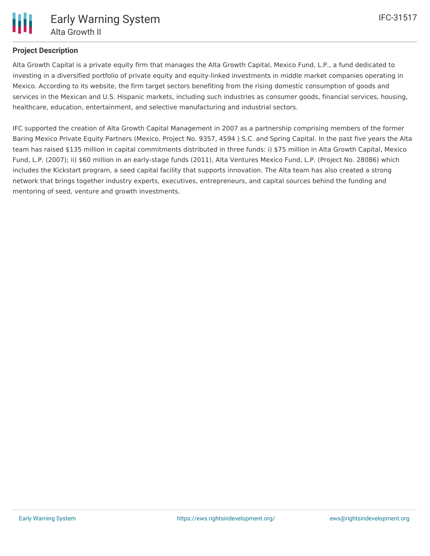

## **Project Description**

Alta Growth Capital is a private equity firm that manages the Alta Growth Capital, Mexico Fund, L.P., a fund dedicated to investing in a diversified portfolio of private equity and equity-linked investments in middle market companies operating in Mexico. According to its website, the firm target sectors benefiting from the rising domestic consumption of goods and services in the Mexican and U.S. Hispanic markets, including such industries as consumer goods, financial services, housing, healthcare, education, entertainment, and selective manufacturing and industrial sectors.

IFC supported the creation of Alta Growth Capital Management in 2007 as a partnership comprising members of the former Baring Mexico Private Equity Partners (Mexico, Project No. 9357, 4594 ) S.C. and Spring Capital. In the past five years the Alta team has raised \$135 million in capital commitments distributed in three funds: i) \$75 million in Alta Growth Capital, Mexico Fund, L.P. (2007); ii) \$60 million in an early-stage funds (2011), Alta Ventures Mexico Fund, L.P. (Project No. 28086) which includes the Kickstart program, a seed capital facility that supports innovation. The Alta team has also created a strong network that brings together industry experts, executives, entrepreneurs, and capital sources behind the funding and mentoring of seed, venture and growth investments.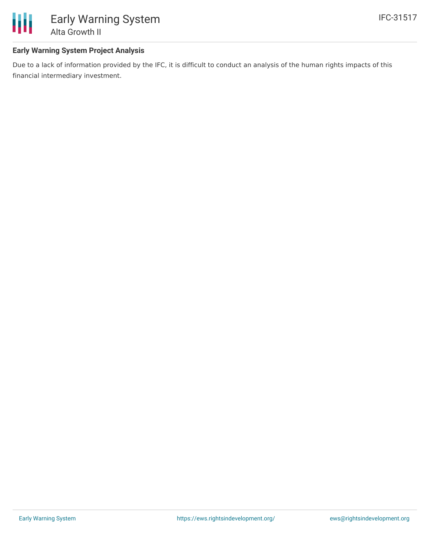

## **Early Warning System Project Analysis**

Due to a lack of information provided by the IFC, it is difficult to conduct an analysis of the human rights impacts of this financial intermediary investment.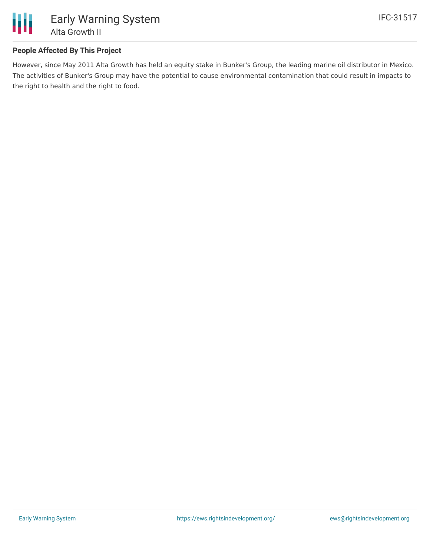

## **People Affected By This Project**

However, since May 2011 Alta Growth has held an equity stake in Bunker's Group, the leading marine oil distributor in Mexico. The activities of Bunker's Group may have the potential to cause environmental contamination that could result in impacts to the right to health and the right to food.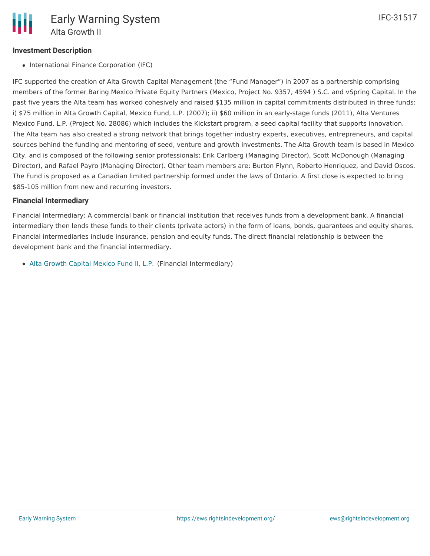#### **Investment Description**

• International Finance Corporation (IFC)

IFC supported the creation of Alta Growth Capital Management (the "Fund Manager") in 2007 as a partnership comprising members of the former Baring Mexico Private Equity Partners (Mexico, Project No. 9357, 4594 ) S.C. and vSpring Capital. In the past five years the Alta team has worked cohesively and raised \$135 million in capital commitments distributed in three funds: i) \$75 million in Alta Growth Capital, Mexico Fund, L.P. (2007); ii) \$60 million in an early-stage funds (2011), Alta Ventures Mexico Fund, L.P. (Project No. 28086) which includes the Kickstart program, a seed capital facility that supports innovation. The Alta team has also created a strong network that brings together industry experts, executives, entrepreneurs, and capital sources behind the funding and mentoring of seed, venture and growth investments. The Alta Growth team is based in Mexico City, and is composed of the following senior professionals: Erik Carlberg (Managing Director), Scott McDonough (Managing Director), and Rafael Payro (Managing Director). Other team members are: Burton Flynn, Roberto Henriquez, and David Oscos. The Fund is proposed as a Canadian limited partnership formed under the laws of Ontario. A first close is expected to bring \$85-105 million from new and recurring investors.

#### **Financial Intermediary**

Financial Intermediary: A commercial bank or financial institution that receives funds from a development bank. A financial intermediary then lends these funds to their clients (private actors) in the form of loans, bonds, guarantees and equity shares. Financial intermediaries include insurance, pension and equity funds. The direct financial relationship is between the development bank and the financial intermediary.

Alta [Growth](file:///actor/1248/) Capital Mexico Fund II, L.P. (Financial Intermediary)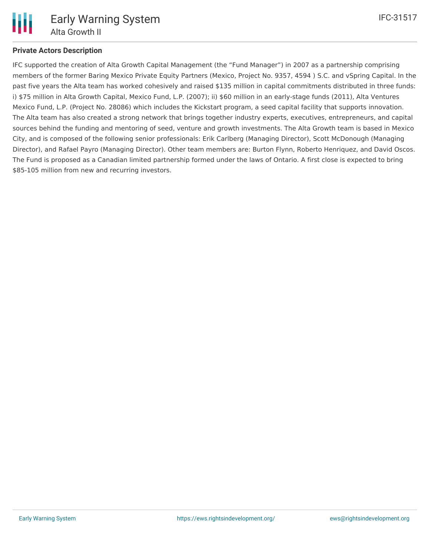

IFC-31517

## **Private Actors Description**

IFC supported the creation of Alta Growth Capital Management (the "Fund Manager") in 2007 as a partnership comprising members of the former Baring Mexico Private Equity Partners (Mexico, Project No. 9357, 4594 ) S.C. and vSpring Capital. In the past five years the Alta team has worked cohesively and raised \$135 million in capital commitments distributed in three funds: i) \$75 million in Alta Growth Capital, Mexico Fund, L.P. (2007); ii) \$60 million in an early-stage funds (2011), Alta Ventures Mexico Fund, L.P. (Project No. 28086) which includes the Kickstart program, a seed capital facility that supports innovation. The Alta team has also created a strong network that brings together industry experts, executives, entrepreneurs, and capital sources behind the funding and mentoring of seed, venture and growth investments. The Alta Growth team is based in Mexico City, and is composed of the following senior professionals: Erik Carlberg (Managing Director), Scott McDonough (Managing Director), and Rafael Payro (Managing Director). Other team members are: Burton Flynn, Roberto Henriquez, and David Oscos. The Fund is proposed as a Canadian limited partnership formed under the laws of Ontario. A first close is expected to bring \$85-105 million from new and recurring investors.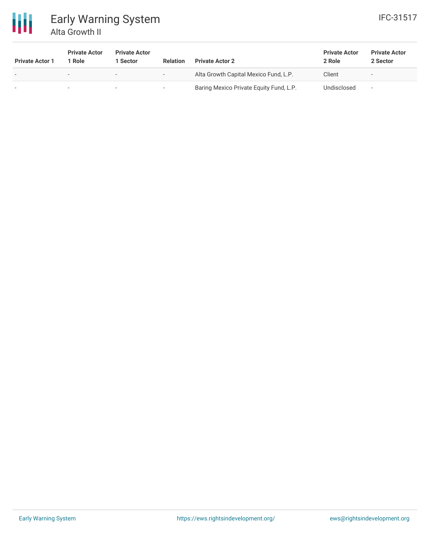

# Early Warning System Alta Growth II

| <b>Private Actor 1</b>   | <b>Private Actor</b><br>Role | <b>Private Actor</b><br>1 Sector | <b>Relation</b>          | <b>Private Actor 2</b>                  | <b>Private Actor</b><br>2 Role | <b>Private Actor</b><br>2 Sector |
|--------------------------|------------------------------|----------------------------------|--------------------------|-----------------------------------------|--------------------------------|----------------------------------|
| $\overline{\phantom{0}}$ | $\overline{\phantom{0}}$     | $\overline{\phantom{a}}$         | $\sim$                   | Alta Growth Capital Mexico Fund, L.P.   | Client                         | $\overline{\phantom{a}}$         |
| $\,$                     | $\sim$                       |                                  | $\overline{\phantom{0}}$ | Baring Mexico Private Equity Fund, L.P. | Undisclosed                    | $\overline{\phantom{a}}$         |